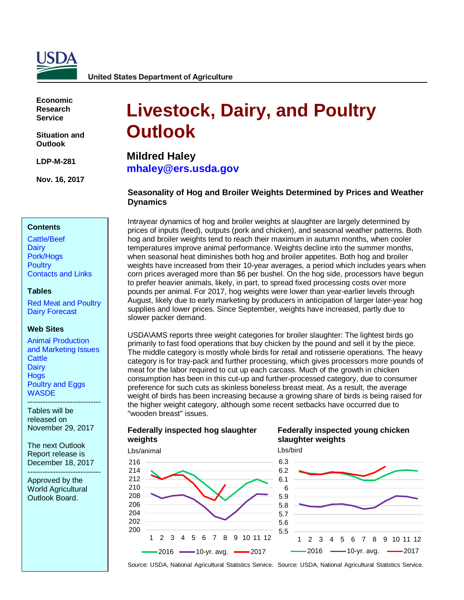

**United States Department of Agriculture** 

**Economic Research Service**

**Situation and Outlook**

**LDP-M-281**

**Nov. 16, 2017**

#### **Contents**

[Cattle/Beef](#page-2-0) **[Dairy](#page-5-0)** [Pork/Hogs](#page-10-0) **[Poultry](#page-12-0)** [Contacts and Links](#page-16-0) 

#### **Tables**

[Red Meat and Poultry](#page-17-0) [Dairy Forecast](#page-18-0)

#### **Web Sites**

[Animal Production](https://www.ers.usda.gov/topics/animal-products/animal-production-marketing-issues/)  and [Marketing Issues](https://www.ers.usda.gov/topics/animal-products/animal-production-marketing-issues/) **[Cattle](https://www.ers.usda.gov/topics/animal-products/cattle-beef/) [Dairy](https://www.ers.usda.gov/topics/animal-products/dairy/) [Hogs](https://www.ers.usda.gov/topics/animal-products/hogs-pork/)** [Poultry and Eggs](https://www.ers.usda.gov/topics/animal-products/poultry-eggs/) **[WASDE](http://usda.mannlib.cornell.edu/MannUsda/viewDocumentInfo.do?documentID=1194)** 

----------------------------- Tables will be released on November 29, 2017

The next Outlook Report release is December 18, 2017

----------------------------- Approved by the World Agricultural Outlook Board.

# **Livestock, Dairy, and Poultry Outlook**

**Mildred Haley [mhaley@ers.usda.gov](mailto:mhaley@ers.usda.gov)**

## **Seasonality of Hog and Broiler Weights Determined by Prices and Weather Dynamics**

Intrayear dynamics of hog and broiler weights at slaughter are largely determined by prices of inputs (feed), outputs (pork and chicken), and seasonal weather patterns. Both hog and broiler weights tend to reach their maximum in autumn months, when cooler temperatures improve animal performance. Weights decline into the summer months, when seasonal heat diminishes both hog and broiler appetites. Both hog and broiler weights have increased from their 10-year averages, a period which includes years when corn prices averaged more than \$6 per bushel. On the hog side, processors have begun to prefer heavier animals, likely, in part, to spread fixed processing costs over more pounds per animal. For 2017, hog weights were lower than year-earlier levels through August, likely due to early marketing by producers in anticipation of larger later-year hog supplies and lower prices. Since September, weights have increased, partly due to slower packer demand.

USDA\AMS reports three weight categories for broiler slaughter: The lightest birds go primarily to fast food operations that buy chicken by the pound and sell it by the piece. The middle category is mostly whole birds for retail and rotisserie operations. The heavy category is for tray-pack and further processing, which gives processors more pounds of meat for the labor required to cut up each carcass. Much of the growth in chicken consumption has been in this cut-up and further-processed category, due to consumer preference for such cuts as skinless boneless breast meat. As a result, the average weight of birds has been increasing because a growing share of birds is being raised for the higher weight category, although some recent setbacks have occurred due to "wooden breast" issues.

#### **Federally inspected hog slaughter weights**



## **Federally inspected young chicken slaughter weights**

Lbs/bird



Source: USDA, National Agricultural Statistics Service. Source: USDA, National Agricultural Statistics Service.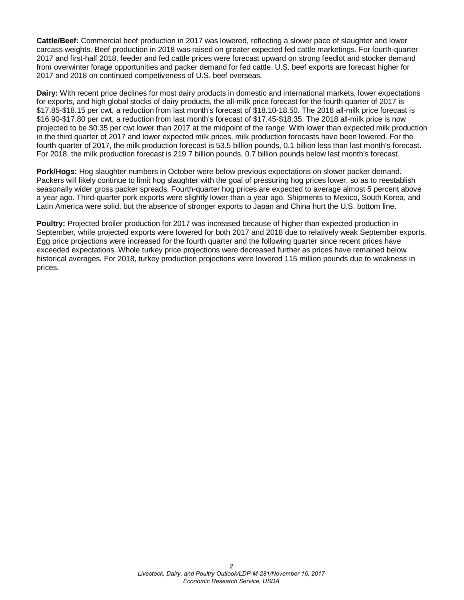**Cattle/Beef:** Commercial beef production in 2017 was lowered, reflecting a slower pace of slaughter and lower carcass weights. Beef production in 2018 was raised on greater expected fed cattle marketings. For fourth-quarter 2017 and first-half 2018, feeder and fed cattle prices were forecast upward on strong feedlot and stocker demand from overwinter forage opportunities and packer demand for fed cattle. U.S. beef exports are forecast higher for 2017 and 2018 on continued competiveness of U.S. beef overseas.

**Dairy:** With recent price declines for most dairy products in domestic and international markets, lower expectations for exports, and high global stocks of dairy products, the all-milk price forecast for the fourth quarter of 2017 is \$17.85-\$18.15 per cwt, a reduction from last month's forecast of \$18.10-18.50. The 2018 all-milk price forecast is \$16.90-\$17.80 per cwt, a reduction from last month's forecast of \$17.45-\$18.35. The 2018 all-milk price is now projected to be \$0.35 per cwt lower than 2017 at the midpoint of the range. With lower than expected milk production in the third quarter of 2017 and lower expected milk prices, milk production forecasts have been lowered. For the fourth quarter of 2017, the milk production forecast is 53.5 billion pounds, 0.1 billion less than last month's forecast. For 2018, the milk production forecast is 219.7 billion pounds, 0.7 billion pounds below last month's forecast.

**Pork/Hogs:** Hog slaughter numbers in October were below previous expectations on slower packer demand. Packers will likely continue to limit hog slaughter with the goal of pressuring hog prices lower, so as to reestablish seasonally wider gross packer spreads. Fourth-quarter hog prices are expected to average almost 5 percent above a year ago. Third-quarter pork exports were slightly lower than a year ago. Shipments to Mexico, South Korea, and Latin America were solid, but the absence of stronger exports to Japan and China hurt the U.S. bottom line.

**Poultry:** Projected broiler production for 2017 was increased because of higher than expected production in September, while projected exports were lowered for both 2017 and 2018 due to relatively weak September exports. Egg price projections were increased for the fourth quarter and the following quarter since recent prices have exceeded expectations. Whole turkey price projections were decreased further as prices have remained below historical averages. For 2018, turkey production projections were lowered 115 million pounds due to weakness in prices.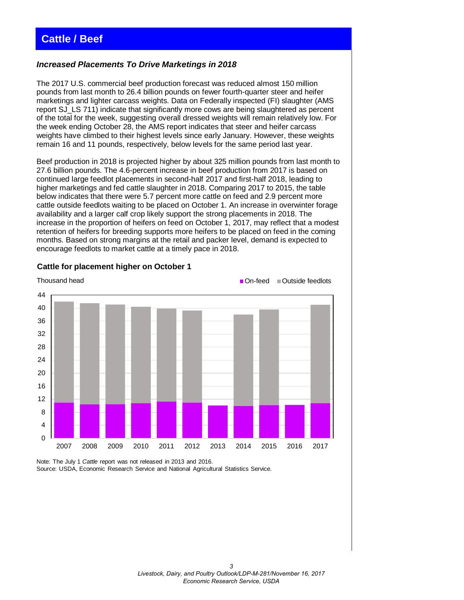# <span id="page-2-0"></span>**Cattle / Beef**

#### *Increased Placements To Drive Marketings in 2018*

The 2017 U.S. commercial beef production forecast was reduced almost 150 million pounds from last month to 26.4 billion pounds on fewer fourth-quarter steer and heifer marketings and lighter carcass weights. Data on Federally inspected (FI) slaughter (AMS report SJ\_LS 711) indicate that significantly more cows are being slaughtered as percent of the total for the week, suggesting overall dressed weights will remain relatively low. For the week ending October 28, the AMS report indicates that steer and heifer carcass weights have climbed to their highest levels since early January. However, these weights remain 16 and 11 pounds, respectively, below levels for the same period last year.

Beef production in 2018 is projected higher by about 325 million pounds from last month to 27.6 billion pounds. The 4.6-percent increase in beef production from 2017 is based on continued large feedlot placements in second-half 2017 and first-half 2018, leading to higher marketings and fed cattle slaughter in 2018. Comparing 2017 to 2015, the table below indicates that there were 5.7 percent more cattle on feed and 2.9 percent more cattle outside feedlots waiting to be placed on October 1. An increase in overwinter forage availability and a larger calf crop likely support the strong placements in 2018. The increase in the proportion of heifers on feed on October 1, 2017, may reflect that a modest retention of heifers for breeding supports more heifers to be placed on feed in the coming months. Based on strong margins at the retail and packer level, demand is expected to encourage feedlots to market cattle at a timely pace in 2018.



#### **Cattle for placement higher on October 1**

Note: The July 1 *Cattle* report was not released in 2013 and 2016. Source: USDA, Economic Research Service and National Agricultural Statistics Service.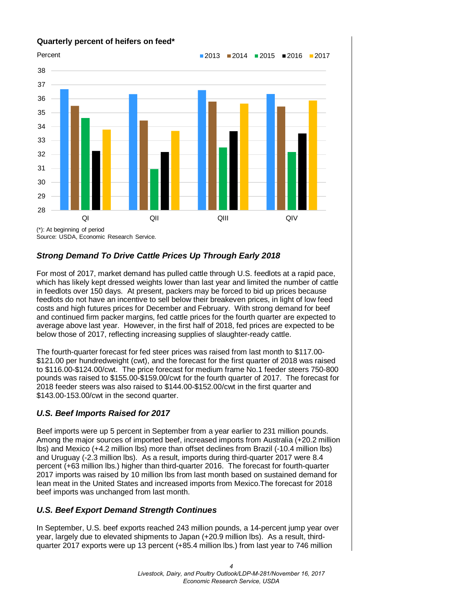

# *Strong Demand To Drive Cattle Prices Up Through Early 2018*

For most of 2017, market demand has pulled cattle through U.S. feedlots at a rapid pace, which has likely kept dressed weights lower than last year and limited the number of cattle in feedlots over 150 days. At present, packers may be forced to bid up prices because feedlots do not have an incentive to sell below their breakeven prices, in light of low feed costs and high futures prices for December and February. With strong demand for beef and continued firm packer margins, fed cattle prices for the fourth quarter are expected to average above last year. However, in the first half of 2018, fed prices are expected to be below those of 2017, reflecting increasing supplies of slaughter-ready cattle.

The fourth-quarter forecast for fed steer prices was raised from last month to \$117.00- \$121.00 per hundredweight (cwt), and the forecast for the first quarter of 2018 was raised to \$116.00-\$124.00/cwt. The price forecast for medium frame No.1 feeder steers 750-800 pounds was raised to \$155.00-\$159.00/cwt for the fourth quarter of 2017. The forecast for 2018 feeder steers was also raised to \$144.00-\$152.00/cwt in the first quarter and \$143.00-153.00/cwt in the second quarter.

# *U.S. Beef Imports Raised for 2017*

Beef imports were up 5 percent in September from a year earlier to 231 million pounds. Among the major sources of imported beef, increased imports from Australia (+20.2 million lbs) and Mexico (+4.2 million lbs) more than offset declines from Brazil (-10.4 million lbs) and Uruguay (-2.3 million lbs). As a result, imports during third-quarter 2017 were 8.4 percent (+63 million lbs.) higher than third-quarter 2016. The forecast for fourth-quarter 2017 imports was raised by 10 million lbs from last month based on sustained demand for lean meat in the United States and increased imports from Mexico.The forecast for 2018 beef imports was unchanged from last month.

# *U.S. Beef Export Demand Strength Continues*

In September, U.S. beef exports reached 243 million pounds, a 14-percent jump year over year, largely due to elevated shipments to Japan (+20.9 million lbs). As a result, thirdquarter 2017 exports were up 13 percent (+85.4 million lbs.) from last year to 746 million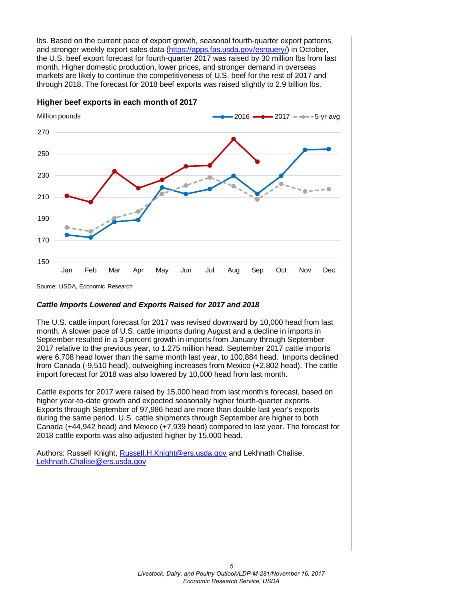lbs. Based on the current pace of export growth, seasonal fourth-quarter export patterns, and stronger weekly export sales data (https://apps.fas.usda.gov/esrquery/) in October, the U.S. beef export forecast for fourth-quarter 2017 was raised by 30 million lbs from last month. Higher domestic production, lower prices, and stronger demand in overseas markets are likely to continue the competitiveness of U.S. beef for the rest of 2017 and through 2018. The forecast for 2018 beef exports was raised slightly to 2.9 billion lbs.

150 170 190 210 230 250 270 Jan Feb Mar Apr May Jun Jul Aug Sep Oct Nov Dec  $2016$   $2017 5$ -yr-avg Million pounds Source: USDA, Economic Research

**Higher beef exports in each month of 2017**

#### *Cattle Imports Lowered and Exports Raised for 2017 and 2018*

The U.S. cattle import forecast for 2017 was revised downward by 10,000 head from last month. A slower pace of U.S. cattle imports during August and a decline in imports in September resulted in a 3-percent growth in imports from January through September 2017 relative to the previous year, to 1.275 million head. September 2017 cattle imports were 6,708 head lower than the same month last year, to 100,884 head. Imports declined from Canada (-9,510 head), outweighing increases from Mexico (+2,802 head). The cattle import forecast for 2018 was also lowered by 10,000 head from last month.

Cattle exports for 2017 were raised by 15,000 head from last month's forecast, based on higher year-to-date growth and expected seasonally higher fourth-quarter exports. Exports through September of 97,986 head are more than double last year's exports during the same period. U.S. cattle shipments through September are higher to both Canada (+44,942 head) and Mexico (+7,939 head) compared to last year. The forecast for 2018 cattle exports was also adjusted higher by 15,000 head.

Authors: Russell Knight[, Russell.H.Knight@ers.usda.gov](mailto:russell.h.knight@ers.usda.gov) and Lekhnath Chalise, [Lekhnath.Chalise@ers.usda.gov](mailto:Lekhnath.Chalise@ers.usda.gov)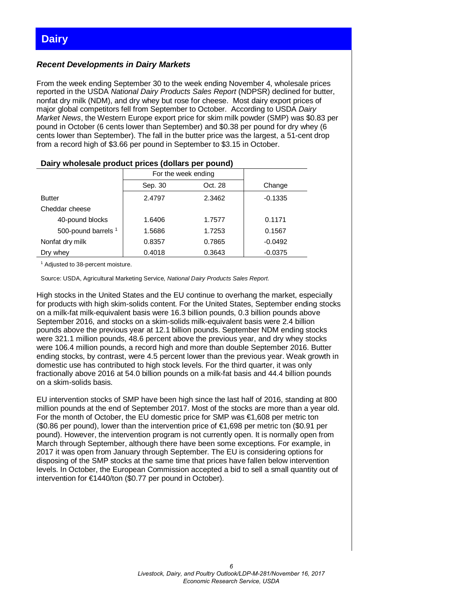## <span id="page-5-0"></span>*Recent Developments in Dairy Markets*

From the week ending September 30 to the week ending November 4, wholesale prices reported in the USDA *National Dairy Products Sales Report* (NDPSR) declined for butter, nonfat dry milk (NDM), and dry whey but rose for cheese. Most dairy export prices of major global competitors fell from September to October. According to USDA *Dairy Market News*, the Western Europe export price for skim milk powder (SMP) was \$0.83 per pound in October (6 cents lower than September) and \$0.38 per pound for dry whey (6 cents lower than September). The fall in the butter price was the largest, a 51-cent drop from a record high of \$3.66 per pound in September to \$3.15 in October.

| $-$ and $\bm{y}$ are produced by a series of the manipulation $\bm{y}$ and $\bm{y}$ |                     |         |           |  |  |  |  |  |  |  |  |  |
|-------------------------------------------------------------------------------------|---------------------|---------|-----------|--|--|--|--|--|--|--|--|--|
|                                                                                     | For the week ending |         |           |  |  |  |  |  |  |  |  |  |
|                                                                                     | Sep. 30             | Oct. 28 | Change    |  |  |  |  |  |  |  |  |  |
| <b>Butter</b>                                                                       | 2.4797              | 2.3462  | $-0.1335$ |  |  |  |  |  |  |  |  |  |
| Cheddar cheese                                                                      |                     |         |           |  |  |  |  |  |  |  |  |  |
| 40-pound blocks                                                                     | 1.6406              | 1.7577  | 0.1171    |  |  |  |  |  |  |  |  |  |
| 500-pound barrels 1                                                                 | 1.5686              | 1.7253  | 0.1567    |  |  |  |  |  |  |  |  |  |
| Nonfat dry milk                                                                     | 0.8357              | 0.7865  | $-0.0492$ |  |  |  |  |  |  |  |  |  |
| Dry whey                                                                            | 0.4018              | 0.3643  | $-0.0375$ |  |  |  |  |  |  |  |  |  |

#### **Dairy wholesale product prices (dollars per pound)**

<sup>1</sup> Adjusted to 38-percent moisture.

Source: USDA, Agricultural Marketing Service, *National Dairy Products Sales Report*.

High stocks in the United States and the EU continue to overhang the market, especially for products with high skim-solids content. For the United States, September ending stocks on a milk-fat milk-equivalent basis were 16.3 billion pounds, 0.3 billion pounds above September 2016, and stocks on a skim-solids milk-equivalent basis were 2.4 billion pounds above the previous year at 12.1 billion pounds. September NDM ending stocks were 321.1 million pounds, 48.6 percent above the previous year, and dry whey stocks were 106.4 million pounds, a record high and more than double September 2016. Butter ending stocks, by contrast, were 4.5 percent lower than the previous year. Weak growth in domestic use has contributed to high stock levels. For the third quarter, it was only fractionally above 2016 at 54.0 billion pounds on a milk-fat basis and 44.4 billion pounds on a skim-solids basis.

EU intervention stocks of SMP have been high since the last half of 2016, standing at 800 million pounds at the end of September 2017. Most of the stocks are more than a year old. For the month of October, the EU domestic price for SMP was €1,608 per metric ton (\$0.86 per pound), lower than the intervention price of €1,698 per metric ton (\$0.91 per pound). However, the intervention program is not currently open. It is normally open from March through September, although there have been some exceptions. For example, in 2017 it was open from January through September. The EU is considering options for disposing of the SMP stocks at the same time that prices have fallen below intervention levels. In October, the European Commission accepted a bid to sell a small quantity out of intervention for €1440/ton (\$0.77 per pound in October).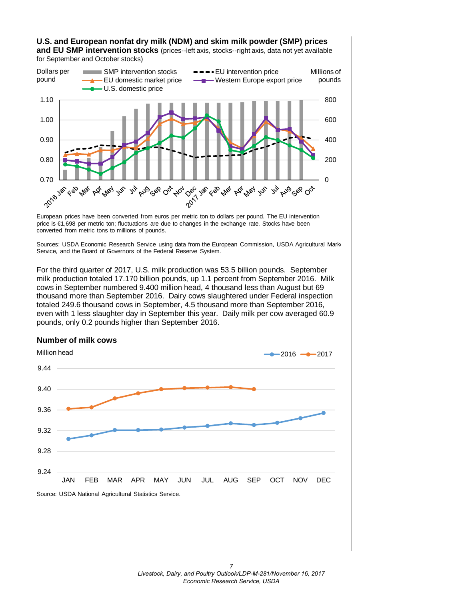## **U.S. and European nonfat dry milk (NDM) and skim milk powder (SMP) prices and EU SMP intervention stocks** (prices--left axis, stocks--right axis, data not yet available

for September and October stocks)



European prices have been converted from euros per metric ton to dollars per pound. The EU intervention price is €1,698 per metric ton; fluctuations are due to changes in the exchange rate. Stocks have been converted from metric tons to millions of pounds.

Sources: USDA Economic Research Service using data from the European Commission, USDA Agricultural Marke Service, and the Board of Governors of the Federal Reserve System.

For the third quarter of 2017, U.S. milk production was 53.5 billion pounds. September milk production totaled 17.170 billion pounds, up 1.1 percent from September 2016. Milk cows in September numbered 9.400 million head, 4 thousand less than August but 69 thousand more than September 2016. Dairy cows slaughtered under Federal inspection totaled 249.6 thousand cows in September, 4.5 thousand more than September 2016, even with 1 less slaughter day in September this year. Daily milk per cow averaged 60.9 pounds, only 0.2 pounds higher than September 2016.

### **Number of milk cows**

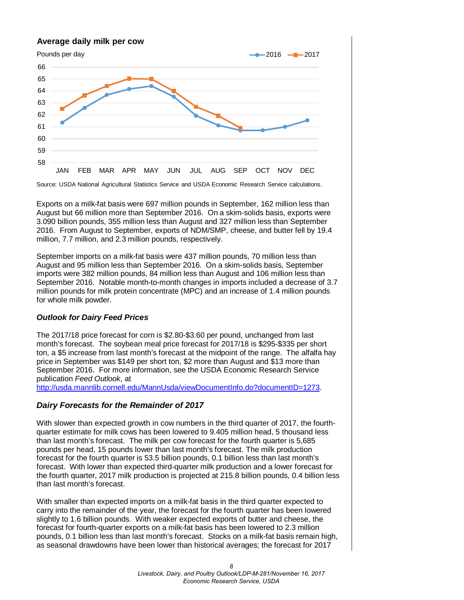# 58 59 60 61 62 63 64 65 66 JAN FEB MAR APR MAY JUN JUL AUG SEP OCT NOV DEC  $-2016$   $-2017$ **Average daily milk per cow** Pounds per day

Source: USDA National Agricultural Statistics Service and USDA Economic Research Service calculations.

Exports on a milk-fat basis were 697 million pounds in September, 162 million less than August but 66 million more than September 2016. On a skim-solids basis, exports were 3.090 billion pounds, 355 million less than August and 327 million less than September 2016. From August to September, exports of NDM/SMP, cheese, and butter fell by 19.4 million, 7.7 million, and 2.3 million pounds, respectively.

September imports on a milk-fat basis were 437 million pounds, 70 million less than August and 95 million less than September 2016. On a skim-solids basis, September imports were 382 million pounds, 84 million less than August and 106 million less than September 2016. Notable month-to-month changes in imports included a decrease of 3.7 million pounds for milk protein concentrate (MPC) and an increase of 1.4 million pounds for whole milk powder.

## *Outlook for Dairy Feed Prices*

The 2017/18 price forecast for corn is \$2.80-\$3.60 per pound, unchanged from last month's forecast. The soybean meal price forecast for 2017/18 is \$295-\$335 per short ton, a \$5 increase from last month's forecast at the midpoint of the range. The alfalfa hay price in September was \$149 per short ton, \$2 more than August and \$13 more than September 2016. For more information, see the USDA Economic Research Service publication *Feed Outlook*, at

[http://usda.mannlib.cornell.edu/MannUsda/viewDocumentInfo.do?documentID=1273.](http://usda.mannlib.cornell.edu/MannUsda/viewDocumentInfo.do?documentID=1273)

# *Dairy Forecasts for the Remainder of 2017*

With slower than expected growth in cow numbers in the third quarter of 2017, the fourthquarter estimate for milk cows has been lowered to 9.405 million head, 5 thousand less than last month's forecast. The milk per cow forecast for the fourth quarter is 5,685 pounds per head, 15 pounds lower than last month's forecast. The milk production forecast for the fourth quarter is 53.5 billion pounds, 0.1 billion less than last month's forecast. With lower than expected third-quarter milk production and a lower forecast for the fourth quarter, 2017 milk production is projected at 215.8 billion pounds, 0.4 billion less than last month's forecast.

With smaller than expected imports on a milk-fat basis in the third quarter expected to carry into the remainder of the year, the forecast for the fourth quarter has been lowered slightly to 1.6 billion pounds. With weaker expected exports of butter and cheese, the forecast for fourth-quarter exports on a milk-fat basis has been lowered to 2.3 million pounds, 0.1 billion less than last month's forecast. Stocks on a milk-fat basis remain high, as seasonal drawdowns have been lower than historical averages; the forecast for 2017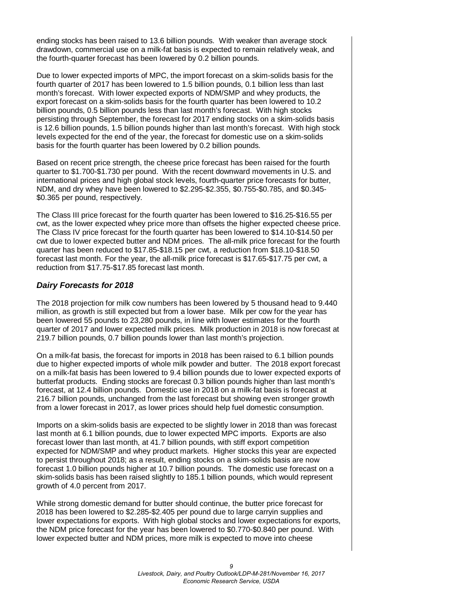ending stocks has been raised to 13.6 billion pounds. With weaker than average stock drawdown, commercial use on a milk-fat basis is expected to remain relatively weak, and the fourth-quarter forecast has been lowered by 0.2 billion pounds.

Due to lower expected imports of MPC, the import forecast on a skim-solids basis for the fourth quarter of 2017 has been lowered to 1.5 billion pounds, 0.1 billion less than last month's forecast. With lower expected exports of NDM/SMP and whey products, the export forecast on a skim-solids basis for the fourth quarter has been lowered to 10.2 billion pounds, 0.5 billion pounds less than last month's forecast. With high stocks persisting through September, the forecast for 2017 ending stocks on a skim-solids basis is 12.6 billion pounds, 1.5 billion pounds higher than last month's forecast. With high stock levels expected for the end of the year, the forecast for domestic use on a skim-solids basis for the fourth quarter has been lowered by 0.2 billion pounds.

Based on recent price strength, the cheese price forecast has been raised for the fourth quarter to \$1.700-\$1.730 per pound. With the recent downward movements in U.S. and international prices and high global stock levels, fourth-quarter price forecasts for butter, NDM, and dry whey have been lowered to \$2.295-\$2.355, \$0.755-\$0.785, and \$0.345- \$0.365 per pound, respectively.

The Class III price forecast for the fourth quarter has been lowered to \$16.25-\$16.55 per cwt, as the lower expected whey price more than offsets the higher expected cheese price. The Class IV price forecast for the fourth quarter has been lowered to \$14.10-\$14.50 per cwt due to lower expected butter and NDM prices. The all-milk price forecast for the fourth quarter has been reduced to \$17.85-\$18.15 per cwt, a reduction from \$18.10-\$18.50 forecast last month. For the year, the all-milk price forecast is \$17.65-\$17.75 per cwt, a reduction from \$17.75-\$17.85 forecast last month.

### *Dairy Forecasts for 2018*

The 2018 projection for milk cow numbers has been lowered by 5 thousand head to 9.440 million, as growth is still expected but from a lower base. Milk per cow for the year has been lowered 55 pounds to 23,280 pounds, in line with lower estimates for the fourth quarter of 2017 and lower expected milk prices. Milk production in 2018 is now forecast at 219.7 billion pounds, 0.7 billion pounds lower than last month's projection.

On a milk-fat basis, the forecast for imports in 2018 has been raised to 6.1 billion pounds due to higher expected imports of whole milk powder and butter. The 2018 export forecast on a milk-fat basis has been lowered to 9.4 billion pounds due to lower expected exports of butterfat products. Ending stocks are forecast 0.3 billion pounds higher than last month's forecast, at 12.4 billion pounds. Domestic use in 2018 on a milk-fat basis is forecast at 216.7 billion pounds, unchanged from the last forecast but showing even stronger growth from a lower forecast in 2017, as lower prices should help fuel domestic consumption.

Imports on a skim-solids basis are expected to be slightly lower in 2018 than was forecast last month at 6.1 billion pounds, due to lower expected MPC imports. Exports are also forecast lower than last month, at 41.7 billion pounds, with stiff export competition expected for NDM/SMP and whey product markets. Higher stocks this year are expected to persist throughout 2018; as a result, ending stocks on a skim-solids basis are now forecast 1.0 billion pounds higher at 10.7 billion pounds. The domestic use forecast on a skim-solids basis has been raised slightly to 185.1 billion pounds, which would represent growth of 4.0 percent from 2017.

While strong domestic demand for butter should continue, the butter price forecast for 2018 has been lowered to \$2.285-\$2.405 per pound due to large carryin supplies and lower expectations for exports. With high global stocks and lower expectations for exports, the NDM price forecast for the year has been lowered to \$0.770-\$0.840 per pound. With lower expected butter and NDM prices, more milk is expected to move into cheese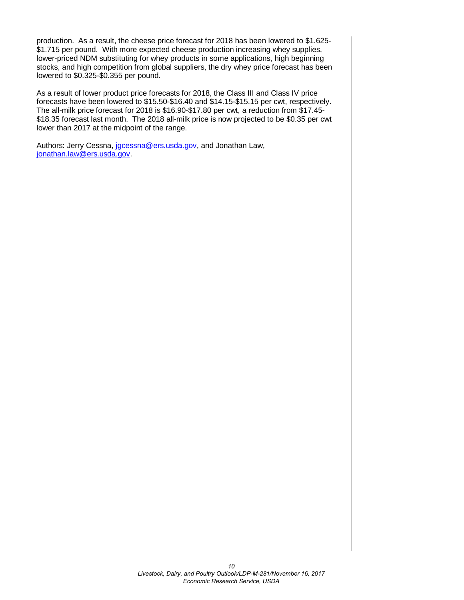production. As a result, the cheese price forecast for 2018 has been lowered to \$1.625- \$1.715 per pound. With more expected cheese production increasing whey supplies, lower-priced NDM substituting for whey products in some applications, high beginning stocks, and high competition from global suppliers, the dry whey price forecast has been lowered to \$0.325-\$0.355 per pound.

As a result of lower product price forecasts for 2018, the Class III and Class IV price forecasts have been lowered to \$15.50-\$16.40 and \$14.15-\$15.15 per cwt, respectively. The all-milk price forecast for 2018 is \$16.90-\$17.80 per cwt, a reduction from \$17.45- \$18.35 forecast last month. The 2018 all-milk price is now projected to be \$0.35 per cwt lower than 2017 at the midpoint of the range.

Authors: Jerry Cessna, jocessna@ers.usda.gov, and Jonathan Law, [jonathan.law@ers.usda.gov.](mailto:jonathan.law@ers.usda.gov)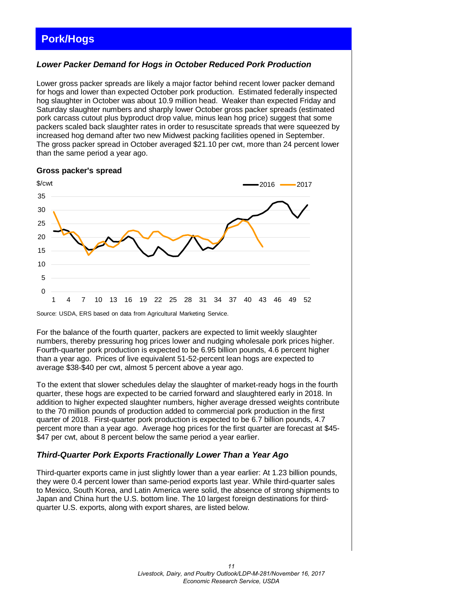# <span id="page-10-0"></span>**Pork/Hogs**

## *Lower Packer Demand for Hogs in October Reduced Pork Production*

Lower gross packer spreads are likely a major factor behind recent lower packer demand for hogs and lower than expected October pork production. Estimated federally inspected hog slaughter in October was about 10.9 million head. Weaker than expected Friday and Saturday slaughter numbers and sharply lower October gross packer spreads (estimated pork carcass cutout plus byproduct drop value, minus lean hog price) suggest that some packers scaled back slaughter rates in order to resuscitate spreads that were squeezed by increased hog demand after two new Midwest packing facilities opened in September. The gross packer spread in October averaged \$21.10 per cwt, more than 24 percent lower than the same period a year ago.

#### **Gross packer's spread**



Source: USDA, ERS based on data from Agricultural Marketing Service.

For the balance of the fourth quarter, packers are expected to limit weekly slaughter numbers, thereby pressuring hog prices lower and nudging wholesale pork prices higher. Fourth-quarter pork production is expected to be 6.95 billion pounds, 4.6 percent higher than a year ago. Prices of live equivalent 51-52-percent lean hogs are expected to average \$38-\$40 per cwt, almost 5 percent above a year ago.

To the extent that slower schedules delay the slaughter of market-ready hogs in the fourth quarter, these hogs are expected to be carried forward and slaughtered early in 2018. In addition to higher expected slaughter numbers, higher average dressed weights contribute to the 70 million pounds of production added to commercial pork production in the first quarter of 2018. First-quarter pork production is expected to be 6.7 billion pounds, 4.7 percent more than a year ago. Average hog prices for the first quarter are forecast at \$45- \$47 per cwt, about 8 percent below the same period a year earlier.

## *Third-Quarter Pork Exports Fractionally Lower Than a Year Ago*

Third-quarter exports came in just slightly lower than a year earlier: At 1.23 billion pounds, they were 0.4 percent lower than same-period exports last year. While third-quarter sales to Mexico, South Korea, and Latin America were solid, the absence of strong shipments to Japan and China hurt the U.S. bottom line. The 10 largest foreign destinations for thirdquarter U.S. exports, along with export shares, are listed below.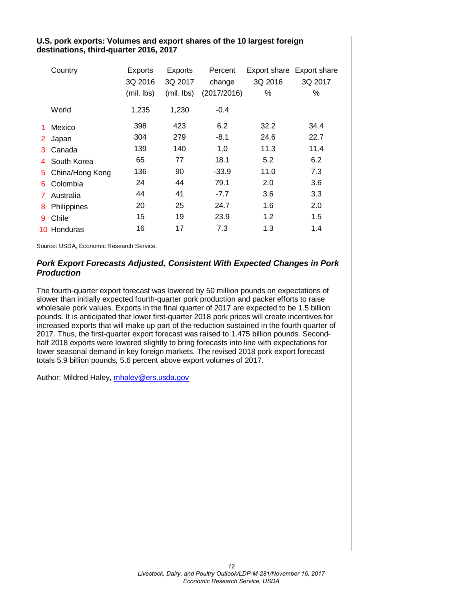### **U.S. pork exports: Volumes and export shares of the 10 largest foreign destinations, third-quarter 2016, 2017**

|                | Country         | <b>Exports</b><br>3Q 2016<br>(mil. lbs) | Exports<br>3Q 2017<br>(mil. lbs) | Percent<br>change<br>(2017/2016) | 3Q 2016<br>% | Export share Export share<br>3Q 2017<br>℅ |
|----------------|-----------------|-----------------------------------------|----------------------------------|----------------------------------|--------------|-------------------------------------------|
|                | World           | 1,235                                   | 1,230                            | $-0.4$                           |              |                                           |
| 1              | Mexico          | 398                                     | 423                              | 6.2                              | 32.2         | 34.4                                      |
| 2 <sup>1</sup> | Japan           | 304                                     | 279                              | $-8.1$                           | 24.6         | 22.7                                      |
| 3              | Canada          | 139                                     | 140                              | 1.0                              | 11.3         | 11.4                                      |
| 4              | South Korea     | 65                                      | 77                               | 18.1                             | 5.2          | 6.2                                       |
| 5.             | China/Hong Kong | 136                                     | 90                               | $-33.9$                          | 11.0         | 7.3                                       |
| 6.             | Colombia        | 24                                      | 44                               | 79.1                             | 2.0          | 3.6                                       |
| 7.             | Australia       | 44                                      | 41                               | $-7.7$                           | 3.6          | 3.3                                       |
| 8              | Philippines     | 20                                      | 25                               | 24.7                             | 1.6          | 2.0                                       |
| 9              | Chile           | 15                                      | 19                               | 23.9                             | 1.2          | 1.5                                       |
|                | 10 Honduras     | 16                                      | 17                               | 7.3                              | 1.3          | 1.4                                       |

Source: USDA, Economic Research Service.

## *Pork Export Forecasts Adjusted, Consistent With Expected Changes in Pork Production*

The fourth-quarter export forecast was lowered by 50 million pounds on expectations of slower than initially expected fourth-quarter pork production and packer efforts to raise wholesale pork values. Exports in the final quarter of 2017 are expected to be 1.5 billion pounds. It is anticipated that lower first-quarter 2018 pork prices will create incentives for increased exports that will make up part of the reduction sustained in the fourth quarter of 2017. Thus, the first-quarter export forecast was raised to 1.475 billion pounds. Secondhalf 2018 exports were lowered slightly to bring forecasts into line with expectations for lower seasonal demand in key foreign markets. The revised 2018 pork export forecast totals 5.9 billion pounds, 5.6 percent above export volumes of 2017.

Author: Mildred Haley, [mhaley@ers.usda.gov](mailto:mhaley@ers.usda.gov)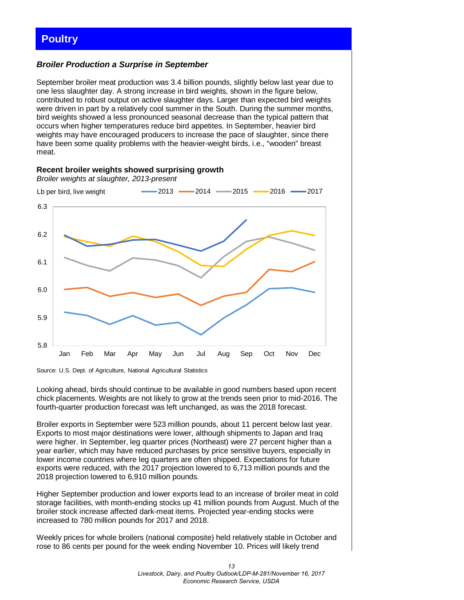## <span id="page-12-0"></span>*Broiler Production a Surprise in September*

**Recent broiler weights showed surprising growth**

September broiler meat production was 3.4 billion pounds, slightly below last year due to one less slaughter day. A strong increase in bird weights, shown in the figure below, contributed to robust output on active slaughter days. Larger than expected bird weights were driven in part by a relatively cool summer in the South. During the summer months, bird weights showed a less pronounced seasonal decrease than the typical pattern that occurs when higher temperatures reduce bird appetites. In September, heavier bird weights may have encouraged producers to increase the pace of slaughter, since there have been some quality problems with the heavier-weight birds, i.e., "wooden" breast meat.





Looking ahead, birds should continue to be available in good numbers based upon recent chick placements. Weights are not likely to grow at the trends seen prior to mid-2016. The fourth-quarter production forecast was left unchanged, as was the 2018 forecast.

Broiler exports in September were 523 million pounds, about 11 percent below last year. Exports to most major destinations were lower, although shipments to Japan and Iraq were higher. In September, leg quarter prices (Northeast) were 27 percent higher than a year earlier, which may have reduced purchases by price sensitive buyers, especially in lower income countries where leg quarters are often shipped. Expectations for future exports were reduced, with the 2017 projection lowered to 6,713 million pounds and the 2018 projection lowered to 6,910 million pounds.

Higher September production and lower exports lead to an increase of broiler meat in cold storage facilities, with month-ending stocks up 41 million pounds from August. Much of the broiler stock increase affected dark-meat items. Projected year-ending stocks were increased to 780 million pounds for 2017 and 2018.

Weekly prices for whole broilers (national composite) held relatively stable in October and rose to 86 cents per pound for the week ending November 10. Prices will likely trend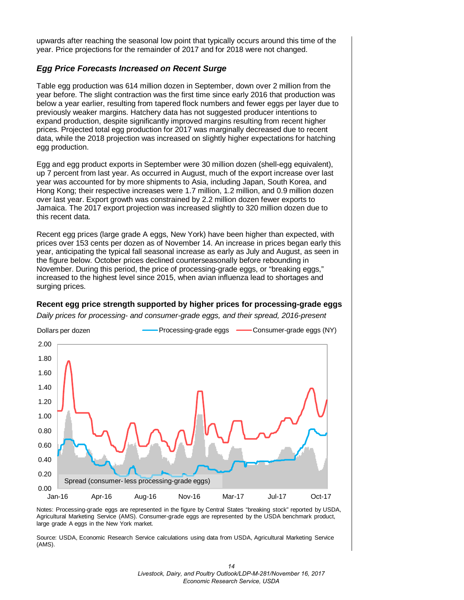upwards after reaching the seasonal low point that typically occurs around this time of the year. Price projections for the remainder of 2017 and for 2018 were not changed.

#### *Egg Price Forecasts Increased on Recent Surge*

Table egg production was 614 million dozen in September, down over 2 million from the year before. The slight contraction was the first time since early 2016 that production was below a year earlier, resulting from tapered flock numbers and fewer eggs per layer due to previously weaker margins. Hatchery data has not suggested producer intentions to expand production, despite significantly improved margins resulting from recent higher prices. Projected total egg production for 2017 was marginally decreased due to recent data, while the 2018 projection was increased on slightly higher expectations for hatching egg production.

Egg and egg product exports in September were 30 million dozen (shell-egg equivalent), up 7 percent from last year. As occurred in August, much of the export increase over last year was accounted for by more shipments to Asia, including Japan, South Korea, and Hong Kong; their respective increases were 1.7 million, 1.2 million, and 0.9 million dozen over last year. Export growth was constrained by 2.2 million dozen fewer exports to Jamaica. The 2017 export projection was increased slightly to 320 million dozen due to this recent data.

Recent egg prices (large grade A eggs, New York) have been higher than expected, with prices over 153 cents per dozen as of November 14. An increase in prices began early this year, anticipating the typical fall seasonal increase as early as July and August, as seen in the figure below. October prices declined counterseasonally before rebounding in November. During this period, the price of processing-grade eggs, or "breaking eggs," increased to the highest level since 2015, when avian influenza lead to shortages and surging prices.

#### **Recent egg price strength supported by higher prices for processing-grade eggs**

*Daily prices for processing- and consumer-grade eggs, and their spread, 2016-present*



Notes: Processing-grade eggs are represented in the figure by Central States "breaking stock" reported by USDA, Agricultural Marketing Service (AMS). Consumer-grade eggs are represented by the USDA benchmark product, large grade A eggs in the New York market.

Source: USDA, Economic Research Service calculations using data from USDA, Agricultural Marketing Service (AMS).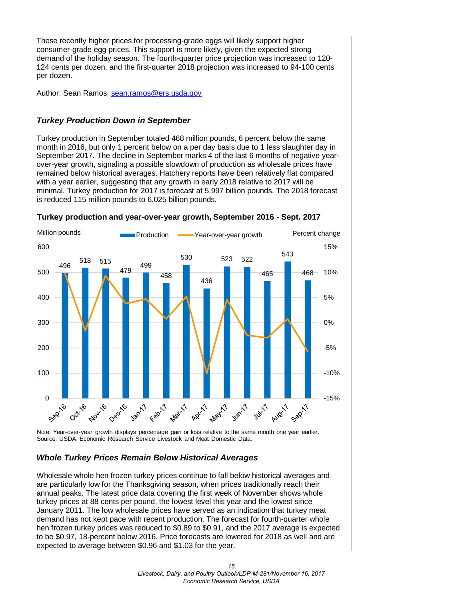These recently higher prices for processing-grade eggs will likely support higher consumer-grade egg prices. This support is more likely, given the expected strong demand of the holiday season. The fourth-quarter price projection was increased to 120- 124 cents per dozen, and the first-quarter 2018 projection was increased to 94-100 cents per dozen.

Author: Sean Ramos, [sean.ramos@ers.usda.gov](mailto:sean.ramos@ers.usda.gov)

## *Turkey Production Down in September*

Turkey production in September totaled 468 million pounds, 6 percent below the same month in 2016, but only 1 percent below on a per day basis due to 1 less slaughter day in September 2017. The decline in September marks 4 of the last 6 months of negative yearover-year growth, signaling a possible slowdown of production as wholesale prices have remained below historical averages. Hatchery reports have been relatively flat compared with a year earlier, suggesting that any growth in early 2018 relative to 2017 will be minimal. Turkey production for 2017 is forecast at 5.997 billion pounds. The 2018 forecast is reduced 115 million pounds to 6.025 billion pounds.



#### **Turkey production and year-over-year growth, September 2016 - Sept. 2017**

Note: Year-over-year growth displays percentage gain or loss relative to the same month one year earlier. Source: USDA, Economic Research Service Livestock and Meat Domestic Data.

## *Whole Turkey Prices Remain Below Historical Averages*

Wholesale whole hen frozen turkey prices continue to fall below historical averages and are particularly low for the Thanksgiving season, when prices traditionally reach their annual peaks. The latest price data covering the first week of November shows whole turkey prices at 88 cents per pound, the lowest level this year and the lowest since January 2011. The low wholesale prices have served as an indication that turkey meat demand has not kept pace with recent production. The forecast for fourth-quarter whole hen frozen turkey prices was reduced to \$0.89 to \$0.91, and the 2017 average is expected to be \$0.97, 18-percent below 2016. Price forecasts are lowered for 2018 as well and are expected to average between \$0.96 and \$1.03 for the year.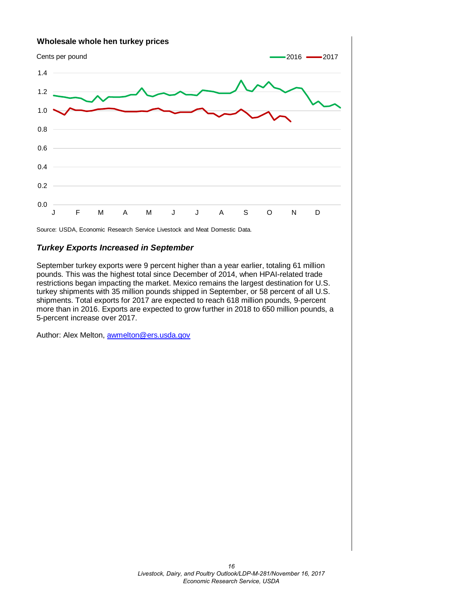

## *Turkey Exports Increased in September*

September turkey exports were 9 percent higher than a year earlier, totaling 61 million pounds. This was the highest total since December of 2014, when HPAI-related trade restrictions began impacting the market. Mexico remains the largest destination for U.S. turkey shipments with 35 million pounds shipped in September, or 58 percent of all U.S. shipments. Total exports for 2017 are expected to reach 618 million pounds, 9-percent more than in 2016. Exports are expected to grow further in 2018 to 650 million pounds, a 5-percent increase over 2017.

Author: Alex Melton, [awmelton@ers.usda.gov](mailto:awmelton@ers.usda.gov)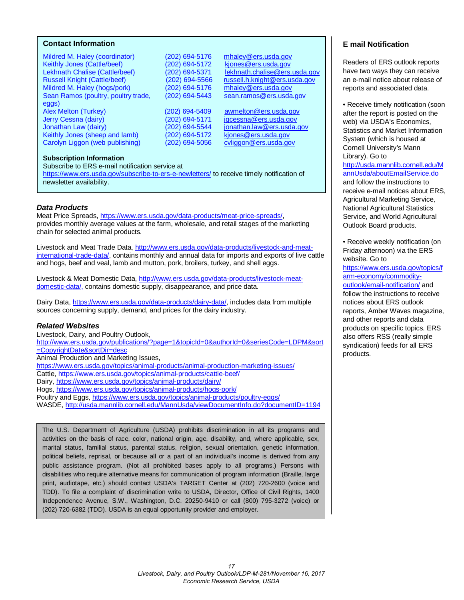#### <span id="page-16-0"></span>**Contact Information**

Mildred M. Haley (coordinator) (202) 694-5176 [mhaley@ers.usda.gov](mailto:mhaley@ers.usda.gov)<br>Keithly Jones (Cattle/beef) (202) 694-5172 kiones@ers.usda.gov Keithly Jones (Cattle/beef) (202) 694-5172<br>Lekhnath Chalise (Cattle/beef) (202) 694-5371 Lekhnath Chalise (Cattle/beef) (202) 694-5371 lekhnath.chalise@ers.usda.gov<br>Russell Knight (Cattle/beef) (202) 694-5566 russell.h.knight@ers.usda.gov Mildred M. Haley (hogs/pork) (202) 694-5176 [mhaley@ers.usda.gov](mailto:mhaley@ers.usda.gov)<br>Sean Ramos (poultry, poultry trade, (202) 694-5443 sean.ramos@ers.usda.gov Sean Ramos (poultry, poultry trade, eggs)<br>Alex Melton (Turkey) Jerry Cessna (dairy) (202) 694-5171 [jgcessna@ers.usda.gov](mailto:jgcessna@ers.usda.gov) Jonathan Law (dairy) (202) 694-5544 <u>jonathan.law@ers.usda.gov</u><br>Keithly Jones (sheep and lamb) (202) 694-5172 kjones@ers.usda.gov Keithly Jones (sheep and lamb) (202) 694-5172 [kjones@ers.usda.gov](mailto:kjones@ers.usda.gov)<br>Carolyn Liggon (web publishing) (202) 694-5056 cyliggon@ers.usda.gov Carolyn Liggon (web publishing)

russell.h.knight@ers.usda.gov

 $(202)$  694-5409 [awmelton@ers.usda.gov](mailto:awmelton@ers.usda.gov)

#### **Subscription Information**

Subscribe to ERS e-mail notification service at <https://www.ers.usda.gov/subscribe-to-ers-e-newletters/> to receive timely notification of newsletter availability.

#### *Data Products*

Meat Price Spreads, [https://www.ers.usda.gov/data-products/meat-price-spreads/,](https://www.ers.usda.gov/data-products/meat-price-spreads/) provides monthly average values at the farm, wholesale, and retail stages of the marketing chain for selected animal products.

Livestock and Meat Trade Data, [http://www.ers.usda.gov/data-products/livestock-and-meat](http://www.ers.usda.gov/data-products/livestock-and-meat-international-trade-data/)[international-trade-data/,](http://www.ers.usda.gov/data-products/livestock-and-meat-international-trade-data/) contains monthly and annual data for imports and exports of live cattle and hogs, beef and veal, lamb and mutton, pork, broilers, turkey, and shell eggs.

Livestock & Meat Domestic Data, http://www.ers.usda.gov/data-products/livestock-meatdomestic-data/, contains domestic supply, disappearance, and price data.

Dairy Data, [https://www.ers.usda.gov/data-products/dairy-data/,](https://www.ers.usda.gov/data-products/dairy-data/) includes data from multiple sources concerning supply, demand, and prices for the dairy industry.

#### *Related Websites*

Livestock, Dairy, and Poultry Outlook, [http://www.ers.usda.gov/publications/?page=1&topicId=0&authorId=0&seriesCode=LDPM&sort](http://www.ers.usda.gov/publications/?page=1&topicId=0&authorId=0&seriesCode=LDPM&sort=CopyrightDate&sortDir=desc) [=CopyrightDate&sortDir=desc](http://www.ers.usda.gov/publications/?page=1&topicId=0&authorId=0&seriesCode=LDPM&sort=CopyrightDate&sortDir=desc)  Animal Production and Marketing Issues, <https://www.ers.usda.gov/topics/animal-products/animal-production-marketing-issues/> Cattle,<https://www.ers.usda.gov/topics/animal-products/cattle-beef/> Dairy,<https://www.ers.usda.gov/topics/animal-products/dairy/> Hogs,<https://www.ers.usda.gov/topics/animal-products/hogs-pork/>

Poultry and Eggs,<https://www.ers.usda.gov/topics/animal-products/poultry-eggs/>

WASDE,<http://usda.mannlib.cornell.edu/MannUsda/viewDocumentInfo.do?documentID=1194>

The U.S. Department of Agriculture (USDA) prohibits discrimination in all its programs and activities on the basis of race, color, national origin, age, disability, and, where applicable, sex, marital status, familial status, parental status, religion, sexual orientation, genetic information, political beliefs, reprisal, or because all or a part of an individual's income is derived from any public assistance program. (Not all prohibited bases apply to all programs.) Persons with disabilities who require alternative means for communication of program information (Braille, large print, audiotape, etc.) should contact USDA's TARGET Center at (202) 720-2600 (voice and TDD). To file a complaint of discrimination write to USDA, Director, Office of Civil Rights, 1400 Independence Avenue, S.W., Washington, D.C. 20250-9410 or call (800) 795-3272 (voice) or (202) 720-6382 (TDD). USDA is an equal opportunity provider and employer.

### **E mail Notification**

Readers of ERS outlook reports have two ways they can receive an e-mail notice about release of reports and associated data.

• Receive timely notification (soon after the report is posted on the web) via USDA's Economics, Statistics and Market Information System (which is housed at Cornell University's Mann Library). Go to

[http://usda.mannlib.cornell.edu/M](http://usda.mannlib.cornell.edu/MannUsda/aboutEmailService.do) [annUsda/aboutEmailService.do](http://usda.mannlib.cornell.edu/MannUsda/aboutEmailService.do) and follow the instructions to receive e-mail notices about ERS, Agricultural Marketing Service, National Agricultural Statistics Service, and World Agricultural Outlook Board products.

• Receive weekly notification (on Friday afternoon) via the ERS website. Go to

[https://www.ers.usda.gov/topics/f](https://www.ers.usda.gov/topics/farm-economy/commodity-outlook/email-notification/) [arm-economy/commodity](https://www.ers.usda.gov/topics/farm-economy/commodity-outlook/email-notification/)[outlook/email-notification/](https://www.ers.usda.gov/topics/farm-economy/commodity-outlook/email-notification/) and follow the instructions to receive notices about ERS outlook reports, Amber Waves magazine, and other reports and data products on specific topics. ERS also offers RSS (really simple syndication) feeds for all ERS products.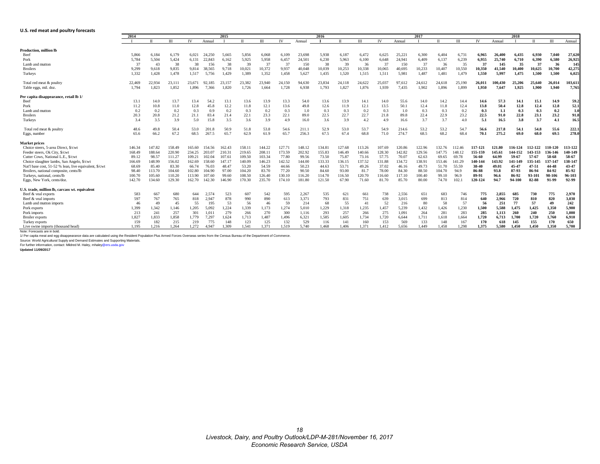#### <span id="page-17-0"></span>**U.S. red meat and poultry forecasts**

|                                                                                                                                                                                    | 2014   | 2015         |        |        |        |        |        | 2016   |        |        |        |        | 2017   |        |        |          |        | 2018   |         |         |         |         |         |         |
|------------------------------------------------------------------------------------------------------------------------------------------------------------------------------------|--------|--------------|--------|--------|--------|--------|--------|--------|--------|--------|--------|--------|--------|--------|--------|----------|--------|--------|---------|---------|---------|---------|---------|---------|
|                                                                                                                                                                                    |        | $\mathbf{u}$ | Ш      | IV     | Annual |        | П      | Ш      | IV     | Annual | - 1    | л      | Ш      | IV     | Annual | $\bf{I}$ | п      | Ш      | IV      | Annual  | - 1     | П       | Ш       | Annual  |
| Production, million lb                                                                                                                                                             |        |              |        |        |        |        |        |        |        |        |        |        |        |        |        |          |        |        |         |         |         |         |         |         |
| Beef                                                                                                                                                                               | 5.866  | 6,184        | 6,179  | 6,021  | 24.250 | 5.665  | 5,856  | 6,068  | 6,109  | 23,698 | 5,938  | 6,187  | 6,472  | 6,625  | 25,221 | 6,300    | 6,404  | 6,731  | 6,965   | 26,400  | 6,435   | 6,930   | 7.040   | 27,620  |
| Pork                                                                                                                                                                               | 5,784  | 5.504        | 5,424  | 6.131  | 22.843 | 6.162  | 5,925  | 5,958  | 6,457  | 24.501 | 6,230  | 5,963  | 6.100  | 6,648  | 24.941 | 6.409    | 6,137  | 6,239  | 6,955   | 25.740  | 6.710   | 6.390   | 6.580   | 26.925  |
| Lamb and mutton                                                                                                                                                                    | 37     | 43           | 38     | 38     | 156    | 38     | 39     | 37     | 37     | 150    | 38     | 39     | 36     | 37     | 150    | 37       | 36     | 35     | 37      | 145     | 35      | 37      | 36      | 145     |
| <b>Broilers</b>                                                                                                                                                                    | 9,299  | 9,618        | 9,835  | 9.814  | 38.565 | 9.718  | 10.021 | 10,372 | 9,937  | 40.048 | 10,039 | 10,253 | 10,338 | 10,065 | 40.695 | 10,233   | 10,407 | 10,550 | 10,350  | 41.540  | 10,400  | 10,625  | 10.700  | 42,275  |
| Turkeys                                                                                                                                                                            | 1,332  | 1,428        | 1,478  | 1,517  | 5.756  | 1,429  | 1,389  | 1,352  | 1,458  | 5,627  | 1,435  | 1,520  | 1,515  | 1,511  | 5,981  | 1,487    | 1,481  | 1,479  | 1,550   | 5,997   | 1,475   | 1.500   | 1.500   | 6.025   |
| Total red meat & poultry                                                                                                                                                           | 22,469 | 22,934       | 23,111 | 23.671 | 92.185 | 23.157 | 23.382 | 23,940 | 24,150 | 94.630 | 23,834 | 24.118 | 24,622 | 25,037 | 97.612 | 24.612   | 24,618 | 25,190 | 26.011  | 100.430 | 25.206  | 25,640  | 26.014  | 103,611 |
| Table eggs, mil. doz                                                                                                                                                               | 1,794  | 1,823        | 1,852  | 1,896  | 7.366  | 1,820  | 1,726  | 1,664  | 1,728  | 6,938  | 1,793  | 1,827  | 1,876  | 1,939  | 7,435  | 1,902    | 1,896  | 1,899  | 1,950   | 7.647   | 1,925   | 1.900   | 1.940   | 7.765   |
| Per capita disappearance, retail lb 1/                                                                                                                                             |        |              |        |        |        |        |        |        |        |        |        |        |        |        |        |          |        |        |         |         |         |         |         |         |
| Beef                                                                                                                                                                               | 13.1   | 14.0         | 13.7   | 13.4   | 54.2   | 13.1   | 13.6   | 13.9   | 13.3   | 54.0   | 13.6   | 13.9   | 14.1   | 14.0   | 55.6   | 14.0     | 14.2   | 14.4   | 14.6    | 57.3    | 14.1    | 15.1    | 14.9    | 59.2    |
| Pork                                                                                                                                                                               | 11.2   | 10.8         | 11.0   | 12.8   | 45.8   | 12.2   | 11.8   | 12.1   | 13.6   | 49.8   | 12.6   | 11.9   | 12.1   | 13.5   | 50.1   | 12.4     | 11.8   | 12.4   | 13.8    | 50.4    | 12.8    | 12.4    | 12.8    | 52.1    |
| Lamb and mutton                                                                                                                                                                    | 0.2    | 0.2          | 0.2    | 0.3    | 0.9    | 0.2    | 0.3    | 0.2    | 0.3    | 1.0    | 0.3    | 0.3    | 0.2    | 0.3    | 1.0    | 0.3      | 0.3    | 0.2    | 0.3     | 1.1     | 0.3     | 0.3     | 0.2     | 1.0     |
| <b>Broilers</b>                                                                                                                                                                    | 20.3   | 20.8         | 21.2   | 21.1   | 83.4   | 21.4   | 22.1   | 23.3   | 22.1   | 89.0   | 22.5   | 22.7   | 22.7   | 21.8   | 89.8   | 22.4     | 22.9   | 23.2   | 22.5    | 91.0    | 22.8    | 23.1    | 23.2    | 91.8    |
| Turkeys                                                                                                                                                                            | 3.4    | 3.5          | 3.9    | 5.0    | 15.8   | 3.5    | 3.6    | 3.9    | 4.9    | 16.0   | 3.6    | 3.9    | 4.2    | 4.9    | 16.6   | 3.7      | 3.7    | 4.0    | 5.1     | 16.5    | 3.8     | 3.7     | 4.1     | 16.5    |
| Total red meat & poultry                                                                                                                                                           | 48.6   | 49.8         | 50.4   | 53.0   | 201.8  | 50.9   | 51.8   | 53.8   | 54.6   | 211.1  | 52.9   | 53.0   | 53.7   | 54.9   | 214.6  | 53.2     | 53.2   | 54.7   | 56.6    | 217.8   | 54.1    | 54.8    | 55.6    | 222.1   |
| Eggs, number                                                                                                                                                                       | 65.6   | 66.2         | 67.2   | 68.5   | 267.5  | 65.7   | 62.9   | 61.9   | 65.7   | 256.3  | 67.5   | 67.4   | 68.8   | 71.0   | 274.7  | 68.5     | 68.2   | 68.4   | 70.1    | 275.2   | 69.0    | 68.0    | 69.5    | 278.0   |
| <b>Market prices</b>                                                                                                                                                               |        |              |        |        |        |        |        |        |        |        |        |        |        |        |        |          |        |        |         |         |         |         |         |         |
| Choice steers, 5-area Direct, \$/cwt                                                                                                                                               | 146.34 | 147.82       | 158.49 | 165.60 | 154.56 | 162.43 | 158.11 | 144.22 | 127.71 | 148.12 | 134.81 | 127.68 | 113.26 | 107.69 | 120.86 | 122.96   | 132.76 | 112.46 | 117-121 | 121.80  | 116-124 | 112-122 | 110-120 | 113-122 |
| Feeder steers, Ok City, \$/cwt                                                                                                                                                     | 168.49 | 188.64       | 220.90 | 234.25 | 203.07 | 210.31 | 219.65 | 208.11 | 173.59 | 202.92 | 155.83 | 146.49 | 140.66 | 128.30 | 142.82 | 129.56   | 147.75 | 148.12 | 155-159 | 145.61  | 144-152 | 143-153 | 136-146 | 140-149 |
| Cutter Cows, National L.E., \$/cw                                                                                                                                                  | 89.12  | 98.57        | 111.27 | 109.21 | 102.04 | 107.61 | 109.50 | 103.34 | 77.80  | 99.56  | 73.50  | 75.87  | 73.16  | 57.75  | 70.07  | 62.63    | 69.65  | 69.78  | 56-60   | 64.99   | 59-67   | 57-67   | 58-68   | 58-67   |
| Choice slaughter lambs, San Angelo, \$/cwt                                                                                                                                         | 166.69 | 148.99       | 156.02 | 162.69 | 158.60 | 147.17 | 140.09 | 146.23 | 142.52 | 144.00 | 133.33 | 136.15 | 137.52 | 131.88 | 134.72 | 138.91   | 153.46 | 141.29 | 140-144 | 143.92  | 141-149 | 135-145 | 137-147 | 138-147 |
| Nat'l base cost, 51-52 % lean, live equivalent, \$/cwt                                                                                                                             | 68.69  | 85.40        | 83.30  | 66.74  | 76.03  | 48.47  | 53.20  | 54.59  | 44.66  | 50.23  | 44.63  | 53.71  | 49.26  | 37.02  | 46.16  | 49.73    | 51.70  | 55.59  | 38-40   | 49.01   | 45-47   | 47-51   | 44-48   | 43-47   |
| Broilers, national composite, cents/lb                                                                                                                                             | 98.40  | 113.70       | 104.60 | 102.80 | 104.90 | 97.00  | 104.20 | 83.70  | 77.20  | 90.50  | 84.60  | 93.00  | 81.7   | 78.00  | 84.30  | 88.50    | 104.70 | 94.9   | 86-88   | 93.8    | 87-93   | 86-94   | 84-92   | 85-92   |
| Turkeys, national, cents/lb                                                                                                                                                        | 100.70 | 105.60       | 110.20 | 113.90 | 107.60 | 99.60  | 108.50 | 126.40 | 130.10 | 116.20 | 114.70 | 116.50 | 120.70 | 116.60 | 117.10 | 100.40   | 99.10  | 96.9   | 89-91   | 96.6    | 86-92   | 93-101  | 98-106  | 96-103  |
| Eggs, New York, cents/doz.                                                                                                                                                         | 142.70 | 134.60       | 129.30 | 162.70 | 142.30 | 146.90 | 170.30 | 235.70 | 174.10 | 181.80 | 121.50 | 67.90  | 71.60  | 81.70  | 85.70  | 80.00    | 74.70  | 102.   | 120-124 | 94.7    | 94-100  | 82-88   | 91-99   | 92-99   |
| U.S. trade, million lb, carcass wt. equivalent                                                                                                                                     |        |              |        |        |        |        |        |        |        |        |        |        |        |        |        |          |        |        |         |         |         |         |         |         |
| Beef & veal exports                                                                                                                                                                | 583    | 667          | 680    | 644    | 2,574  | 523    | 607    | 542    | 595    | 2,267  | 535    | 621    | 661    | 738    | 2,556  | 651      | 683    | 746    | 775     | 2,855   | 685     | 730     | 775     | 2,970   |
| Beef & veal imports                                                                                                                                                                | 597    | 767          | 765    | 818    | 2.947  | 878    | 990    | 890    | 613    | 3.371  | 793    | 831    | 751    | 639    | 3.015  | 699      | 813    | 814    | 640     | 2.966   | 720     | 810     | 820     | 3,030   |
| Lamb and mutton imports                                                                                                                                                            | 46     | 49           | 45     | 55     | 195    | 53     | 56     | 46     | 59     | 214    | 68     | 55     | 41     | 52     | 216    | 80       | -58    | 57     | 56      | 251     | 77      | 57      | 49      | 242     |
| Pork exports                                                                                                                                                                       | 1,399  | 1,342        | 1,146  | 1,205  | 5.092  | 1,224  | 1,339  | 1,173  | 1,274  | 5,010  | 1,229  | 1,318  | 1,235  | 1,457  | 5,239  | 1,432    | 1,426  | 1,230  | 1,500   | 5.588   | 1.475   | 1,425   | 1,350   | 5,900   |
| Pork imports                                                                                                                                                                       | 213    | 241          | 257    | 301    | 1.011  | 279    | 266    | 270    | 300    | 1,116  | 293    | 257    | 266    | 275    | 1.091  | 264      | 281    | 283    | 285     | 1.113   | 260     | 240     | 250     | 1,000   |
| <b>Broiler</b> exports                                                                                                                                                             | 1,827  | 1.833        | 1,858  | 1.779  | 7.297  | 1.624  | 1,713  | 1.487  | 1,496  | 6,321  | 1,585  | 1.605  | 1,734  | 1,720  | 6,644  | 1,711    | 1,618  | 1,664  | 1,720   | 6,713   | 1.700   | 1,720   | 1.760   | 6.910   |
| Turkey exports                                                                                                                                                                     | 159    | 182          | 215    | 219    | 775    | 148    | 123    | 125    | 132    | 529    | 116    | 141    | 160    | 153    | 569    | 133      | 148    | 167    | 170     | 618     | 145     | 155     | 170     | 650     |
| Live swine imports (thousand head)                                                                                                                                                 | 1.195  | 1,216        | 1.264  | 1,272  | 4.947  | 1.309  | 1.541  | 1,371  | 1.519  | 5.740  | 1.468  | 1.406  | 1.371  | 1,412  | 5.656  | 1.449    | 1.458  | 1.298  | 1.375   | 5.580   | 1.450   | 1.450   | 1.350   | 5.700   |
| Note: Forecasts are in bold.                                                                                                                                                       |        |              |        |        |        |        |        |        |        |        |        |        |        |        |        |          |        |        |         |         |         |         |         |         |
| 1/ Per capita meat and egg disappearance data are calculated using the Resident Population Plus Armed Forces Overseas series from the Census Bureau of the Department of Commerce. |        |              |        |        |        |        |        |        |        |        |        |        |        |        |        |          |        |        |         |         |         |         |         |         |
| Source: World Agricultural Supply and Demand Estimates and Supporting Materials                                                                                                    |        |              |        |        |        |        |        |        |        |        |        |        |        |        |        |          |        |        |         |         |         |         |         |         |
| For further information, contact: Mildred M. Haley, mhaley@ers.usda.gov                                                                                                            |        |              |        |        |        |        |        |        |        |        |        |        |        |        |        |          |        |        |         |         |         |         |         |         |
| <b>Updated 11/09/2017</b>                                                                                                                                                          |        |              |        |        |        |        |        |        |        |        |        |        |        |        |        |          |        |        |         |         |         |         |         |         |